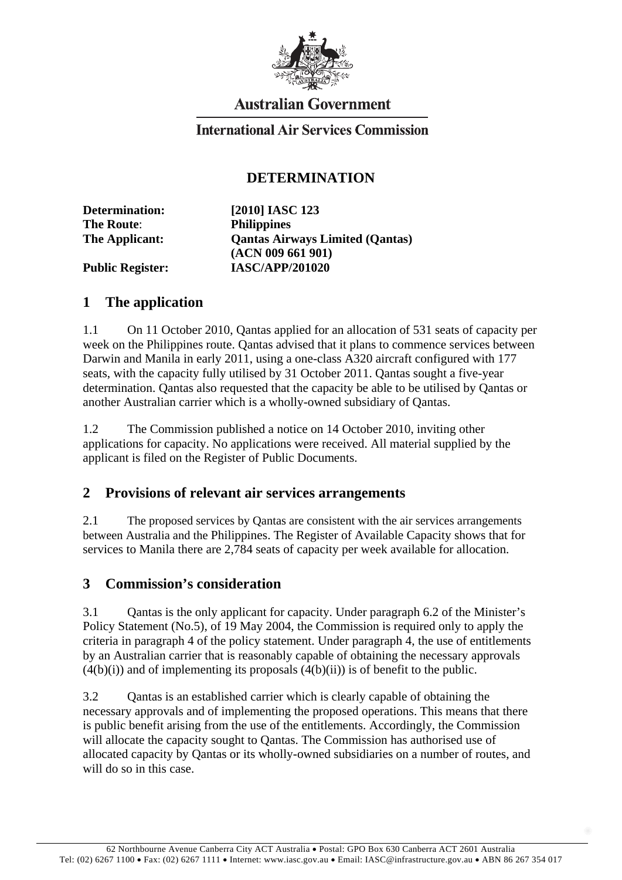

# **Australian Government**

## **International Air Services Commission**

### **DETERMINATION**

**The Route**: **Philippines**

**Determination: [2010] IASC 123 The Applicant: Qantas Airways Limited (Qantas) (ACN 009 661 901) Public Register: IASC/APP/201020** 

#### **1 The application**

1.1 On 11 October 2010, Qantas applied for an allocation of 531 seats of capacity per week on the Philippines route. Qantas advised that it plans to commence services between Darwin and Manila in early 2011, using a one-class A320 aircraft configured with 177 seats, with the capacity fully utilised by 31 October 2011. Qantas sought a five-year determination. Qantas also requested that the capacity be able to be utilised by Qantas or another Australian carrier which is a wholly-owned subsidiary of Qantas.

1.2 The Commission published a notice on 14 October 2010, inviting other applications for capacity. No applications were received. All material supplied by the applicant is filed on the Register of Public Documents.

#### **2 Provisions of relevant air services arrangements**

2.1 The proposed services by Qantas are consistent with the air services arrangements between Australia and the Philippines. The Register of Available Capacity shows that for services to Manila there are 2,784 seats of capacity per week available for allocation.

## **3 Commission's consideration**

3.1 Qantas is the only applicant for capacity. Under paragraph 6.2 of the Minister's Policy Statement (No.5), of 19 May 2004, the Commission is required only to apply the criteria in paragraph 4 of the policy statement. Under paragraph 4, the use of entitlements by an Australian carrier that is reasonably capable of obtaining the necessary approvals  $(4(b)(i))$  and of implementing its proposals  $(4(b)(ii))$  is of benefit to the public.

3.2 Qantas is an established carrier which is clearly capable of obtaining the necessary approvals and of implementing the proposed operations. This means that there is public benefit arising from the use of the entitlements. Accordingly, the Commission will allocate the capacity sought to Qantas. The Commission has authorised use of allocated capacity by Qantas or its wholly-owned subsidiaries on a number of routes, and will do so in this case.